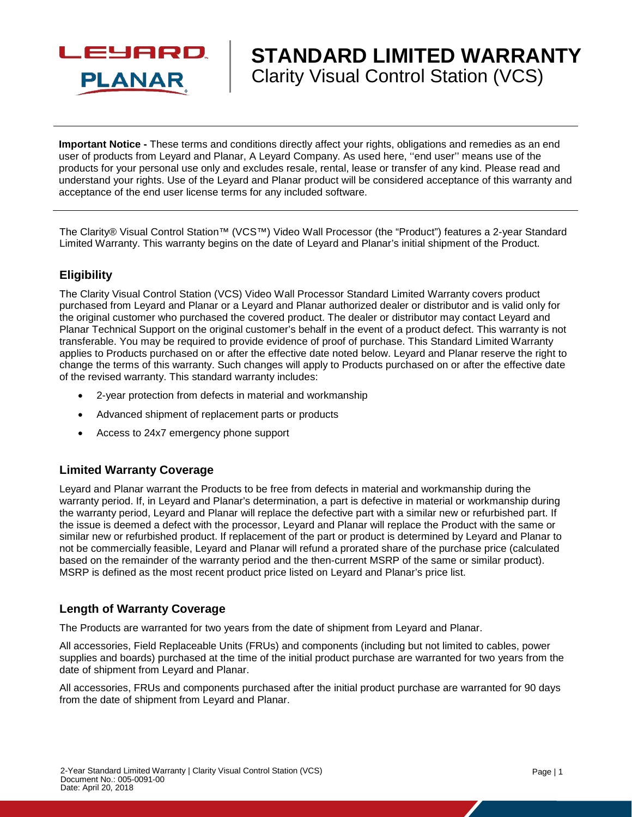

# **STANDARD LIMITED WARRANTY** Clarity Visual Control Station (VCS)

**Important Notice -** These terms and conditions directly affect your rights, obligations and remedies as an end user of products from Leyard and Planar, A Leyard Company. As used here, ''end user'' means use of the products for your personal use only and excludes resale, rental, lease or transfer of any kind. Please read and understand your rights. Use of the Leyard and Planar product will be considered acceptance of this warranty and acceptance of the end user license terms for any included software.

The Clarity® Visual Control Station™ (VCS™) Video Wall Processor (the "Product") features a 2-year Standard Limited Warranty. This warranty begins on the date of Leyard and Planar's initial shipment of the Product.

## **Eligibility**

The Clarity Visual Control Station (VCS) Video Wall Processor Standard Limited Warranty covers product purchased from Leyard and Planar or a Leyard and Planar authorized dealer or distributor and is valid only for the original customer who purchased the covered product. The dealer or distributor may contact Leyard and Planar Technical Support on the original customer's behalf in the event of a product defect. This warranty is not transferable. You may be required to provide evidence of proof of purchase. This Standard Limited Warranty applies to Products purchased on or after the effective date noted below. Leyard and Planar reserve the right to change the terms of this warranty. Such changes will apply to Products purchased on or after the effective date of the revised warranty. This standard warranty includes:

- 2-year protection from defects in material and workmanship
- Advanced shipment of replacement parts or products
- Access to 24x7 emergency phone support

### **Limited Warranty Coverage**

Leyard and Planar warrant the Products to be free from defects in material and workmanship during the warranty period. If, in Leyard and Planar's determination, a part is defective in material or workmanship during the warranty period, Leyard and Planar will replace the defective part with a similar new or refurbished part. If the issue is deemed a defect with the processor, Leyard and Planar will replace the Product with the same or similar new or refurbished product. If replacement of the part or product is determined by Leyard and Planar to not be commercially feasible, Leyard and Planar will refund a prorated share of the purchase price (calculated based on the remainder of the warranty period and the then-current MSRP of the same or similar product). MSRP is defined as the most recent product price listed on Leyard and Planar's price list.

### **Length of Warranty Coverage**

The Products are warranted for two years from the date of shipment from Leyard and Planar.

All accessories, Field Replaceable Units (FRUs) and components (including but not limited to cables, power supplies and boards) purchased at the time of the initial product purchase are warranted for two years from the date of shipment from Leyard and Planar.

All accessories, FRUs and components purchased after the initial product purchase are warranted for 90 days from the date of shipment from Leyard and Planar.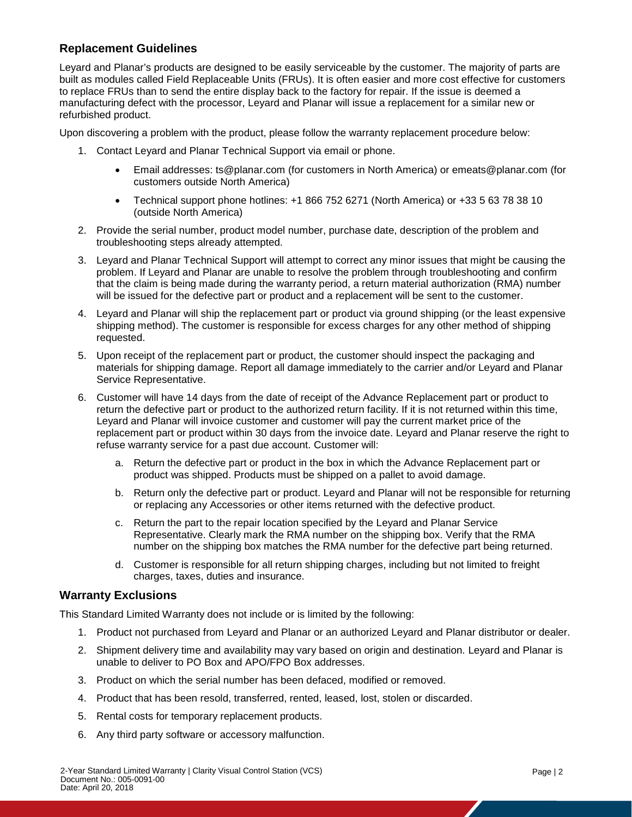## **Replacement Guidelines**

Leyard and Planar's products are designed to be easily serviceable by the customer. The majority of parts are built as modules called Field Replaceable Units (FRUs). It is often easier and more cost effective for customers to replace FRUs than to send the entire display back to the factory for repair. If the issue is deemed a manufacturing defect with the processor, Leyard and Planar will issue a replacement for a similar new or refurbished product.

Upon discovering a problem with the product, please follow the warranty replacement procedure below:

- 1. Contact Leyard and Planar Technical Support via email or phone.
	- Email addresses: ts@planar.com (for customers in North America) or emeats@planar.com (for customers outside North America)
	- Technical support phone hotlines: +1 866 752 6271 (North America) or +33 5 63 78 38 10 (outside North America)
- 2. Provide the serial number, product model number, purchase date, description of the problem and troubleshooting steps already attempted.
- 3. Leyard and Planar Technical Support will attempt to correct any minor issues that might be causing the problem. If Leyard and Planar are unable to resolve the problem through troubleshooting and confirm that the claim is being made during the warranty period, a return material authorization (RMA) number will be issued for the defective part or product and a replacement will be sent to the customer.
- 4. Leyard and Planar will ship the replacement part or product via ground shipping (or the least expensive shipping method). The customer is responsible for excess charges for any other method of shipping requested.
- 5. Upon receipt of the replacement part or product, the customer should inspect the packaging and materials for shipping damage. Report all damage immediately to the carrier and/or Leyard and Planar Service Representative.
- 6. Customer will have 14 days from the date of receipt of the Advance Replacement part or product to return the defective part or product to the authorized return facility. If it is not returned within this time, Leyard and Planar will invoice customer and customer will pay the current market price of the replacement part or product within 30 days from the invoice date. Leyard and Planar reserve the right to refuse warranty service for a past due account. Customer will:
	- a. Return the defective part or product in the box in which the Advance Replacement part or product was shipped. Products must be shipped on a pallet to avoid damage.
	- b. Return only the defective part or product. Leyard and Planar will not be responsible for returning or replacing any Accessories or other items returned with the defective product.
	- c. Return the part to the repair location specified by the Leyard and Planar Service Representative. Clearly mark the RMA number on the shipping box. Verify that the RMA number on the shipping box matches the RMA number for the defective part being returned.
	- d. Customer is responsible for all return shipping charges, including but not limited to freight charges, taxes, duties and insurance.

### **Warranty Exclusions**

This Standard Limited Warranty does not include or is limited by the following:

- 1. Product not purchased from Leyard and Planar or an authorized Leyard and Planar distributor or dealer.
- 2. Shipment delivery time and availability may vary based on origin and destination. Leyard and Planar is unable to deliver to PO Box and APO/FPO Box addresses.
- 3. Product on which the serial number has been defaced, modified or removed.
- 4. Product that has been resold, transferred, rented, leased, lost, stolen or discarded.
- 5. Rental costs for temporary replacement products.
- 6. Any third party software or accessory malfunction.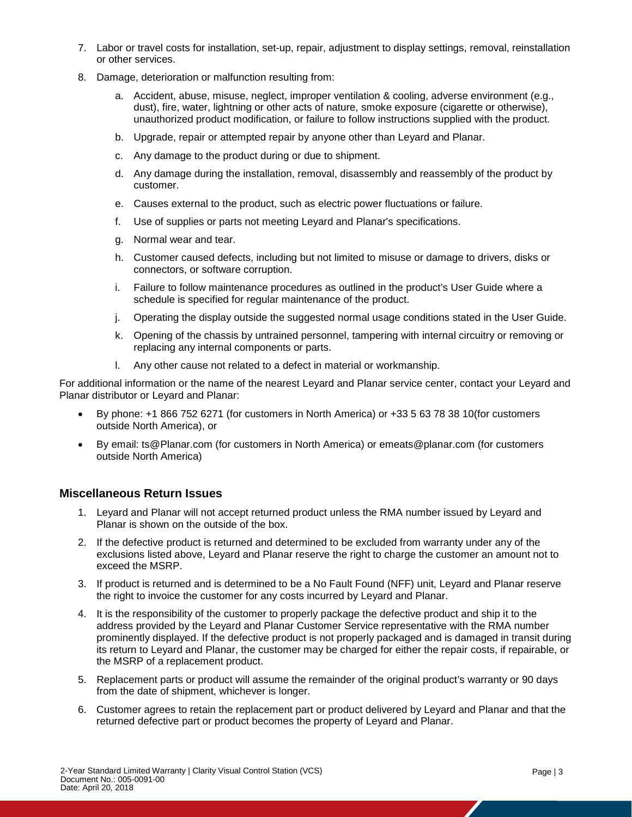- 7. Labor or travel costs for installation, set-up, repair, adjustment to display settings, removal, reinstallation or other services.
- 8. Damage, deterioration or malfunction resulting from:
	- a. Accident, abuse, misuse, neglect, improper ventilation & cooling, adverse environment (e.g., dust), fire, water, lightning or other acts of nature, smoke exposure (cigarette or otherwise), unauthorized product modification, or failure to follow instructions supplied with the product.
	- b. Upgrade, repair or attempted repair by anyone other than Leyard and Planar.
	- c. Any damage to the product during or due to shipment.
	- d. Any damage during the installation, removal, disassembly and reassembly of the product by customer.
	- e. Causes external to the product, such as electric power fluctuations or failure.
	- f. Use of supplies or parts not meeting Leyard and Planar's specifications.
	- g. Normal wear and tear.
	- h. Customer caused defects, including but not limited to misuse or damage to drivers, disks or connectors, or software corruption.
	- i. Failure to follow maintenance procedures as outlined in the product's User Guide where a schedule is specified for regular maintenance of the product.
	- j. Operating the display outside the suggested normal usage conditions stated in the User Guide.
	- k. Opening of the chassis by untrained personnel, tampering with internal circuitry or removing or replacing any internal components or parts.
	- l. Any other cause not related to a defect in material or workmanship.

For additional information or the name of the nearest Leyard and Planar service center, contact your Leyard and Planar distributor or Leyard and Planar:

- By phone: +1 866 752 6271 (for customers in North America) or +33 5 63 78 38 10(for customers outside North America), or
- By email: ts@Planar.com (for customers in North America) or emeats@planar.com (for customers outside North America)

### **Miscellaneous Return Issues**

- 1. Leyard and Planar will not accept returned product unless the RMA number issued by Leyard and Planar is shown on the outside of the box.
- 2. If the defective product is returned and determined to be excluded from warranty under any of the exclusions listed above, Leyard and Planar reserve the right to charge the customer an amount not to exceed the MSRP.
- 3. If product is returned and is determined to be a No Fault Found (NFF) unit, Leyard and Planar reserve the right to invoice the customer for any costs incurred by Leyard and Planar.
- 4. It is the responsibility of the customer to properly package the defective product and ship it to the address provided by the Leyard and Planar Customer Service representative with the RMA number prominently displayed. If the defective product is not properly packaged and is damaged in transit during its return to Leyard and Planar, the customer may be charged for either the repair costs, if repairable, or the MSRP of a replacement product.
- 5. Replacement parts or product will assume the remainder of the original product's warranty or 90 days from the date of shipment, whichever is longer.
- 6. Customer agrees to retain the replacement part or product delivered by Leyard and Planar and that the returned defective part or product becomes the property of Leyard and Planar.